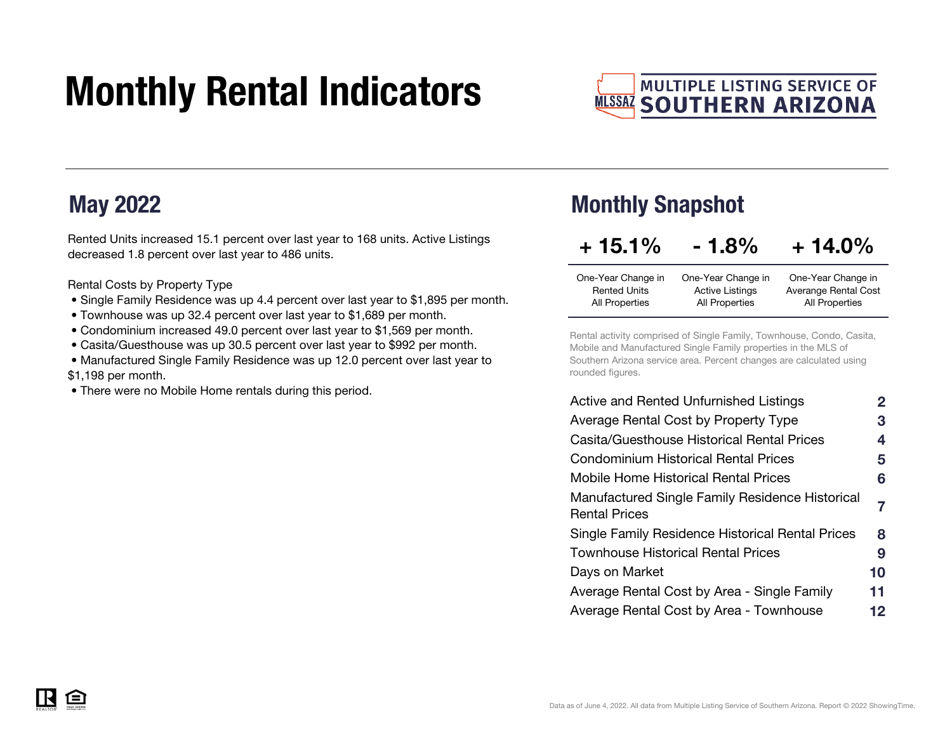# Monthly Rental Indicators



### May 2022

<u>自</u>

Rented Units increased 15.1 percent over last year to 168 units. Active Listings decreased 1.8 percent over last year to 486 units.

Rental Costs by Property Type

- Single Family Residence was up 4.4 percent over last year to \$1,895 per month.
- Townhouse was up 32.4 percent over last year to \$1,689 per month.
- Condominium increased 49.0 percent over last year to \$1,569 per month.
- Casita/Guesthouse was up 30.5 percent over last year to \$992 per month.
- Manufactured Single Family Residence was up 12.0 percent over last year to \$1,198 per month.
- There were no Mobile Home rentals during this period.

### Monthly Snapshot

| $+15.1%$            | $-1.8%$                | $+14.0\%$             |
|---------------------|------------------------|-----------------------|
| One-Year Change in  | One-Year Change in     | One-Year Change in    |
| <b>Rented Units</b> | <b>Active Listings</b> | Averange Rental Cost  |
| All Properties      | All Properties         | <b>All Properties</b> |

Rental activity comprised of Single Family, Townhouse, Condo, Casita, Mobile and Manufactured Single Family properties in the MLS of Southern Arizona service area. Percent changes are calculated using rounded figures.

| Active and Rented Unfurnished Listings                                  | 2  |
|-------------------------------------------------------------------------|----|
| Average Rental Cost by Property Type                                    | 3  |
| Casita/Guesthouse Historical Rental Prices                              | 4  |
| <b>Condominium Historical Rental Prices</b>                             | 5  |
| Mobile Home Historical Rental Prices                                    | 6  |
| Manufactured Single Family Residence Historical<br><b>Rental Prices</b> | 7  |
| Single Family Residence Historical Rental Prices                        | 8  |
| Townhouse Historical Rental Prices                                      | 9  |
| Days on Market                                                          | 10 |
| Average Rental Cost by Area - Single Family                             | 11 |
| Average Rental Cost by Area - Townhouse                                 | 12 |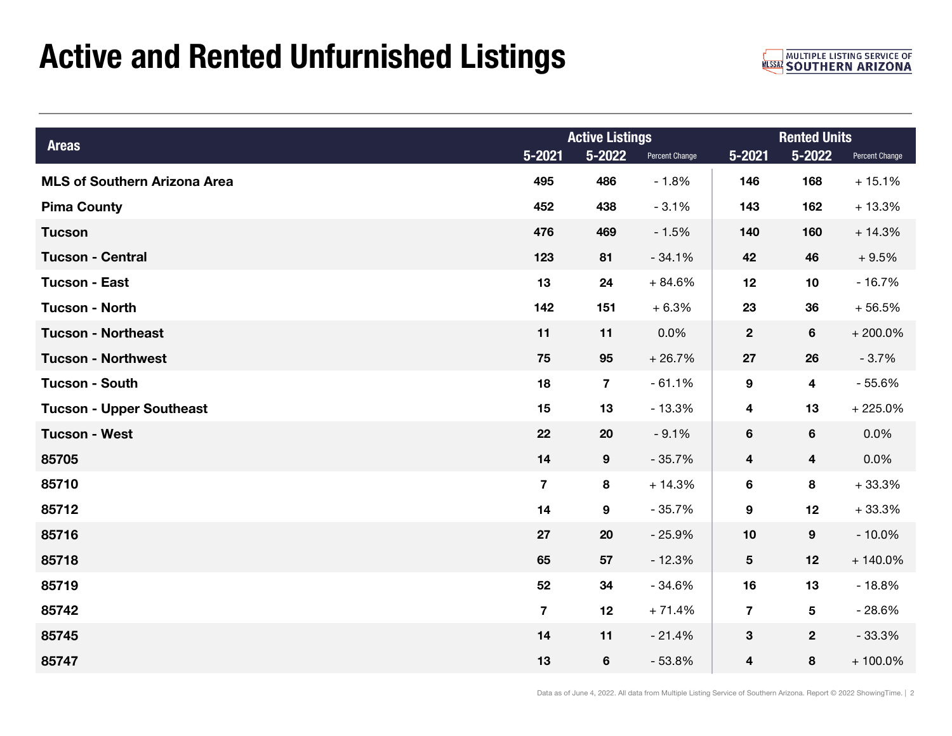## Active and Rented Unfurnished Listings

**MULTIPLE LISTING SERVICE OF MUSSAZ SOUTHERN ARIZONA** 

| <b>Areas</b>                        |                         | <b>Active Listings</b> |                | <b>Rented Units</b>     |                         |                |  |
|-------------------------------------|-------------------------|------------------------|----------------|-------------------------|-------------------------|----------------|--|
|                                     | $5 - 2021$              | 5-2022                 | Percent Change | $5 - 2021$              | 5-2022                  | Percent Change |  |
| <b>MLS of Southern Arizona Area</b> | 495                     | 486                    | $-1.8%$        | 146                     | 168                     | $+15.1%$       |  |
| <b>Pima County</b>                  | 452                     | 438                    | $-3.1%$        | 143                     | 162                     | $+13.3%$       |  |
| <b>Tucson</b>                       | 476                     | 469                    | $-1.5%$        | 140                     | 160                     | $+14.3%$       |  |
| <b>Tucson - Central</b>             | 123                     | 81                     | $-34.1%$       | 42                      | 46                      | $+9.5%$        |  |
| <b>Tucson - East</b>                | 13                      | 24                     | $+84.6%$       | 12                      | 10                      | $-16.7%$       |  |
| <b>Tucson - North</b>               | 142                     | 151                    | $+6.3%$        | 23                      | 36                      | $+56.5%$       |  |
| <b>Tucson - Northeast</b>           | 11                      | 11                     | 0.0%           | $\mathbf{2}$            | 6                       | $+200.0\%$     |  |
| <b>Tucson - Northwest</b>           | 75                      | 95                     | $+26.7%$       | 27                      | 26                      | $-3.7%$        |  |
| <b>Tucson - South</b>               | 18                      | $\overline{7}$         | $-61.1%$       | 9                       | $\overline{\mathbf{4}}$ | $-55.6%$       |  |
| <b>Tucson - Upper Southeast</b>     | 15                      | 13                     | $-13.3%$       | 4                       | 13                      | $+225.0%$      |  |
| <b>Tucson - West</b>                | 22                      | 20                     | $-9.1%$        | 6                       | 6                       | $0.0\%$        |  |
| 85705                               | 14                      | 9                      | $-35.7%$       | $\overline{\mathbf{4}}$ | $\overline{\mathbf{4}}$ | $0.0\%$        |  |
| 85710                               | $\overline{7}$          | 8                      | $+14.3%$       | 6                       | 8                       | $+33.3%$       |  |
| 85712                               | 14                      | 9                      | $-35.7%$       | 9                       | 12                      | $+33.3%$       |  |
| 85716                               | 27                      | 20                     | $-25.9%$       | 10                      | 9                       | $-10.0%$       |  |
| 85718                               | 65                      | 57                     | $-12.3%$       | 5                       | 12                      | $+140.0\%$     |  |
| 85719                               | 52                      | 34                     | $-34.6%$       | 16                      | 13                      | $-18.8%$       |  |
| 85742                               | $\overline{\mathbf{7}}$ | 12                     | $+71.4%$       | $\overline{7}$          | 5                       | $-28.6%$       |  |
| 85745                               | 14                      | 11                     | $-21.4%$       | 3                       | $\mathbf{2}$            | $-33.3%$       |  |
| 85747                               | 13                      | 6                      | $-53.8%$       | 4                       | 8                       | $+100.0\%$     |  |

Data as of June 4, 2022. All data from Multiple Listing Service of Southern Arizona. Report © 2022 ShowingTime. | 2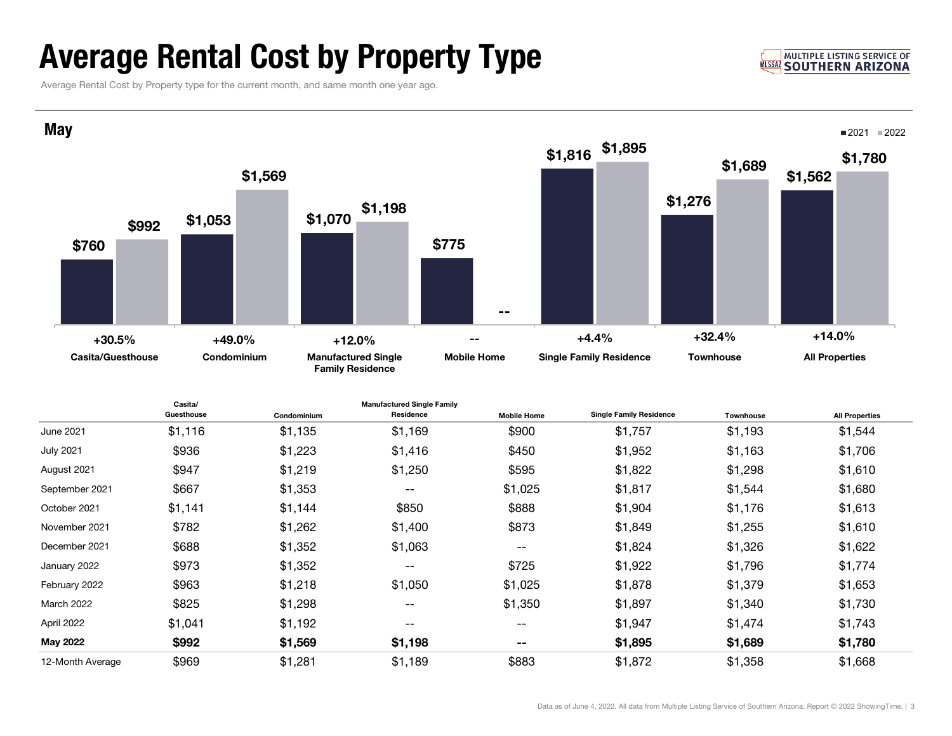## Average Rental Cost by Property Type

#### **MULTIPLE LISTING SERVICE OF MLSSA SOUTHERN ARIZONA**

Average Rental Cost by Property type for the current month, and same month one year ago.

March 2022



January 2022 \$973 \$1,352 -- \$725 \$1,922 \$1,796 \$1,774 February 2022 \$963 \$1,218 \$1,050 \$1,025 \$1,878 \$1,379 \$1,653

April 2022 \$1,041 \$1,192 -- -- \$1,947 \$1,474 \$1,743 May 2022 \$992 \$1,569 \$1,198 -- \$1,895 \$1,689 \$1,780 12-Month Average \$969 \$1,281 \$1,189 \$883 \$1,872 \$1,358 \$1,668

2 \$825 \$1,298 -- \$1,350 \$1,897 \$1,340 \$1,730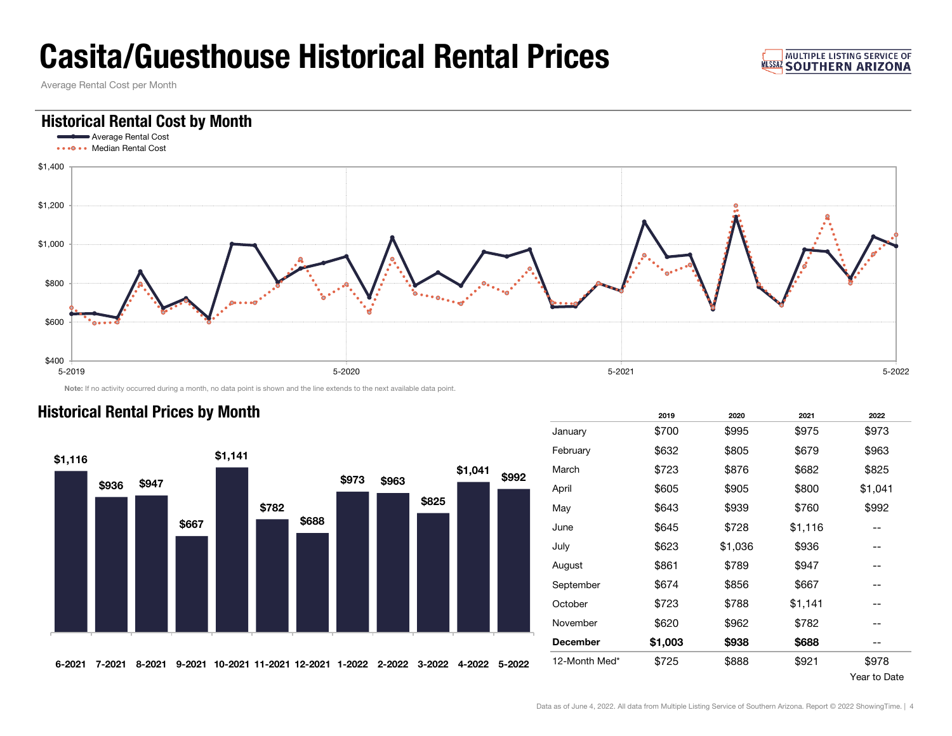## Casita/Guesthouse Historical Rental Prices

Average Rental Cost per Month

### Historical Rental Cost by Month



Note: If no activity occurred during a month, no data point is shown and the line extends to the next available data point.



| <b>Historical Rental Prices by Month</b> |  |  |
|------------------------------------------|--|--|
|                                          |  |  |

| Historical Rental Prices by Month |        |        |        |         |                         |       |        |        |        |         |               |                 | 2019    | 2020    | 2021    | 2022                     |
|-----------------------------------|--------|--------|--------|---------|-------------------------|-------|--------|--------|--------|---------|---------------|-----------------|---------|---------|---------|--------------------------|
|                                   |        |        |        |         |                         |       |        |        |        |         |               | January         | \$700   | \$995   | \$975   | \$973                    |
| \$1,116                           |        |        |        | \$1,141 |                         |       |        |        |        |         |               | February        | \$632   | \$805   | \$679   | \$963                    |
|                                   |        |        |        |         |                         |       |        |        |        | \$1,041 | \$992         | March           | \$723   | \$876   | \$682   | \$825                    |
|                                   | \$936  | \$947  |        |         |                         |       | \$973  | \$963  |        |         |               | April           | \$605   | \$905   | \$800   | \$1,041                  |
|                                   |        |        |        |         | \$782                   |       |        |        | \$825  |         |               | May             | \$643   | \$939   | \$760   | \$992                    |
|                                   |        |        | \$667  |         |                         | \$688 |        |        |        |         |               | June            | \$645   | \$728   | \$1,116 | --                       |
|                                   |        |        |        |         |                         |       |        |        |        |         |               | July            | \$623   | \$1,036 | \$936   | $\overline{\phantom{m}}$ |
|                                   |        |        |        |         |                         |       |        |        |        |         |               | August          | \$861   | \$789   | \$947   | $- -$                    |
|                                   |        |        |        |         |                         |       |        |        |        |         |               | September       | \$674   | \$856   | \$667   | --                       |
|                                   |        |        |        |         |                         |       |        |        |        |         |               | October         | \$723   | \$788   | \$1,141 | $- -$                    |
|                                   |        |        |        |         |                         |       |        |        |        |         |               | November        | \$620   | \$962   | \$782   | $- -$                    |
|                                   |        |        |        |         |                         |       |        |        |        |         |               | <b>December</b> | \$1,003 | \$938   | \$688   | --                       |
| 6-2021                            | 7-2021 | 8-2021 | 9-2021 |         | 10-2021 11-2021 12-2021 |       | 1-2022 | 2-2022 | 3-2022 |         | 4-2022 5-2022 | 12-Month Med*   | \$725   | \$888   | \$921   | \$978                    |

Year to Date

**MULTIPLE LISTING SERVICE OF NLSSAZ SOUTHERN ARIZONA**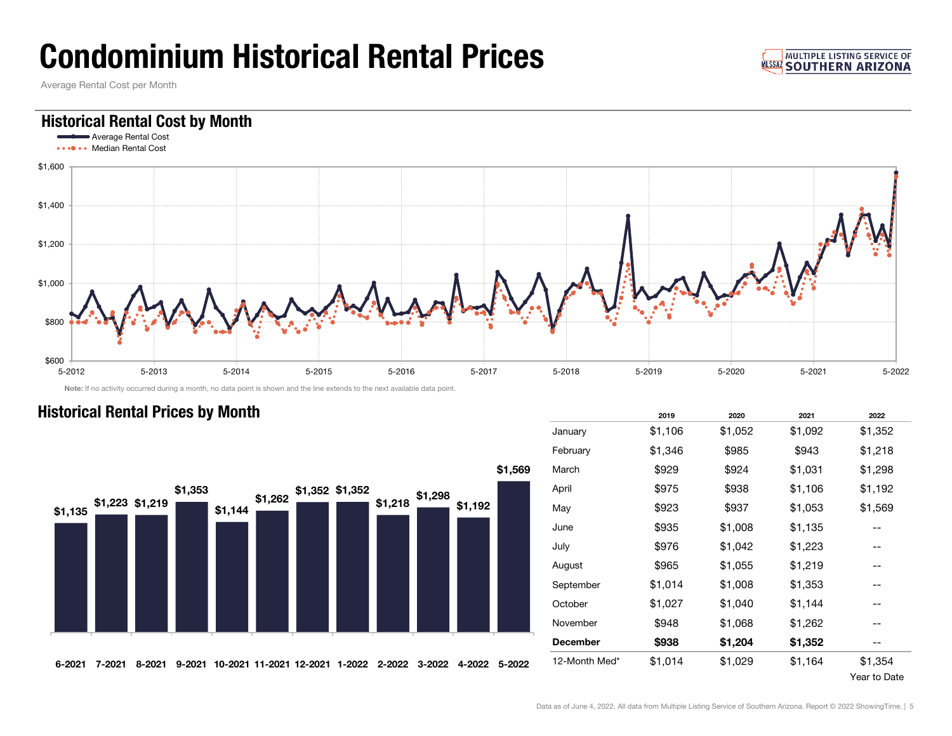## Condominium Historical Rental Prices

Average Rental Cost per Month

### Historical Rental Cost by Month



Note: If no activity occurred during a month, no data point is shown and the line extends to the next available data point.



|                 | 2019    | 2020    | 2021    | 2022    |
|-----------------|---------|---------|---------|---------|
| January         | \$1,106 | \$1,052 | \$1,092 | \$1,352 |
| February        | \$1,346 | \$985   | \$943   | \$1,218 |
| March           | \$929   | \$924   | \$1,031 | \$1,298 |
| April           | \$975   | \$938   | \$1,106 | \$1,192 |
| May             | \$923   | \$937   | \$1,053 | \$1,569 |
| June            | \$935   | \$1,008 | \$1,135 |         |
| July            | \$976   | \$1,042 | \$1,223 |         |
| August          | \$965   | \$1,055 | \$1,219 |         |
| September       | \$1,014 | \$1,008 | \$1,353 |         |
| October         | \$1,027 | \$1,040 | \$1,144 |         |
| November        | \$948   | \$1,068 | \$1,262 |         |
| <b>December</b> | \$938   | \$1,204 | \$1,352 | --      |
| 12-Month Med*   | \$1,014 | \$1,029 | \$1,164 | \$1,354 |
|                 |         |         |         |         |

### **Historical Rental Prices by Month**

Year to Date

**MULTIPLE LISTING SERVICE OF MISSAZ SOUTHERN ARIZONA**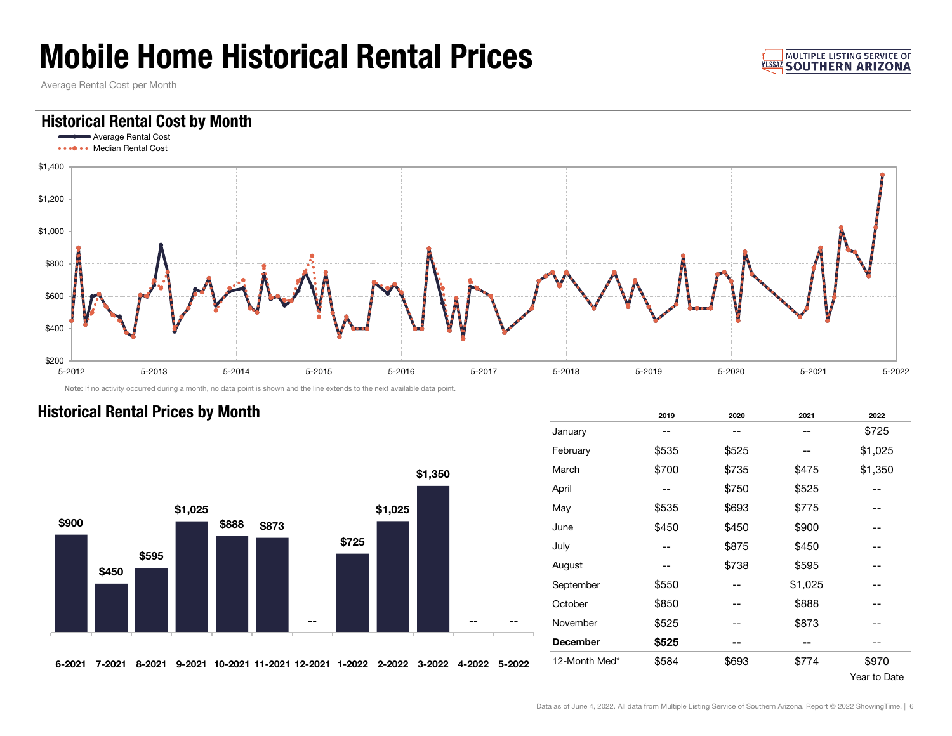## Mobile Home Historical Rental Prices

Average Rental Cost per Month

### Historical Rental Cost by Month



Note: If no activity occurred during a month, no data point is shown and the line extends to the next available data point.

### **Historical Rental Prices by Month**



|                 | 2019  | 2020                          | 2021                             | 2022    |
|-----------------|-------|-------------------------------|----------------------------------|---------|
| January         |       | --                            | --                               | \$725   |
| February        | \$535 | \$525                         | --                               | \$1,025 |
| March           | \$700 | \$735                         | \$475                            | \$1,350 |
| April           |       | \$750                         | \$525                            |         |
| May             | \$535 | \$693                         | \$775<br>\$900<br>\$450<br>\$595 |         |
| June            | \$450 | \$450                         |                                  |         |
| July            |       | \$875                         |                                  |         |
| August          |       | \$738                         |                                  |         |
| September       | \$550 |                               | \$1,025                          |         |
| October         | \$850 | --                            | \$888                            | --      |
| November        | \$525 |                               | \$873                            |         |
| <b>December</b> | \$525 | --<br>\$693<br>\$774<br>\$970 |                                  |         |
| 12-Month Med*   | \$584 |                               |                                  |         |

Year to Date

**MULTIPLE LISTING SERVICE OF NLSSAZ SOUTHERN ARIZONA**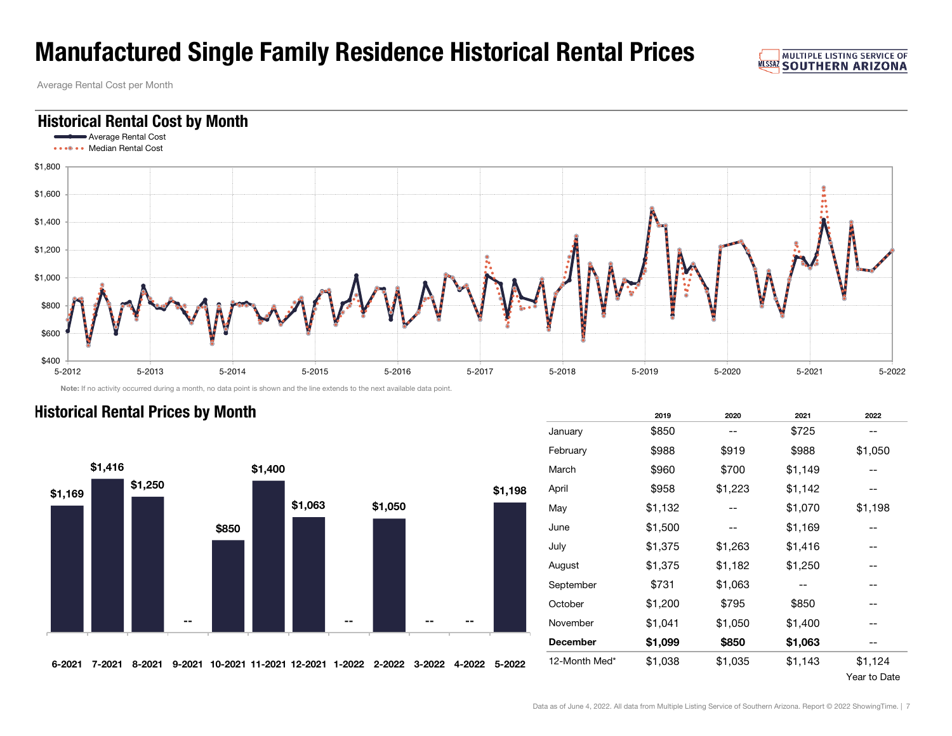## Manufactured Single Family Residence Historical Rental Prices

Average Rental Cost per Month



Note: If no activity occurred during a month, no data point is shown and the line extends to the next available data point.





|   |                 | 2019    | 2020    | 2021    | 2022    |
|---|-----------------|---------|---------|---------|---------|
|   | January         | \$850   |         | \$725   |         |
|   | February        | \$988   | \$919   | \$988   | \$1,050 |
|   | March           | \$960   | \$700   | \$1,149 |         |
| 8 | April           | \$958   | \$1,223 | \$1,142 |         |
|   | May             | \$1,132 |         | \$1,070 | \$1,198 |
|   | June            | \$1,500 |         | \$1,169 |         |
|   | July            | \$1,375 | \$1,263 | \$1,416 |         |
|   | August          | \$1,375 | \$1,182 | \$1,250 |         |
|   | September       | \$731   | \$1,063 |         |         |
|   | October         | \$1,200 | \$795   | \$850   |         |
|   | November        | \$1,041 | \$1,050 | \$1,400 |         |
|   | <b>December</b> | \$1,099 | \$850   | \$1,063 |         |
| 2 | 12-Month Med*   | \$1,038 | \$1,035 | \$1,143 | \$1,124 |
|   |                 |         |         |         |         |

#### Year to Date

**MULTIPLE LISTING SERVICE OF WISSAZ SOUTHERN ARIZONA**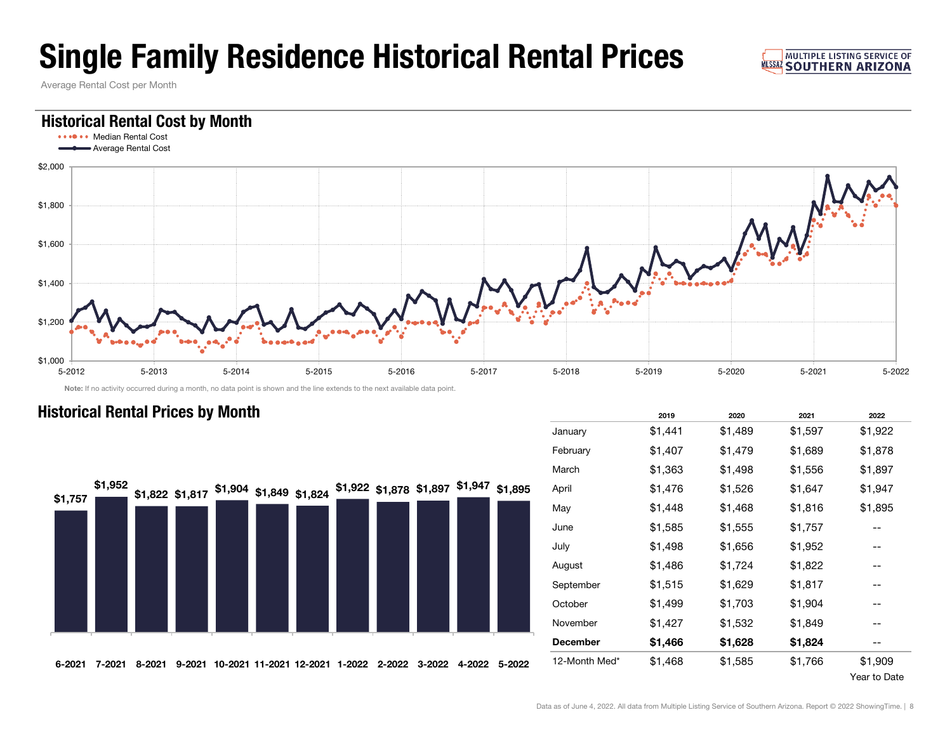## Single Family Residence Historical Rental Prices

Average Rental Cost per Month

### Historical Rental Cost by Month



Note: If no activity occurred during a month, no data point is shown and the line extends to the next available data point.



|                 | 2019    | 2020    | 2021    | 2022    |
|-----------------|---------|---------|---------|---------|
| January         | \$1,441 | \$1,489 | \$1,597 | \$1,922 |
| February        | \$1,407 | \$1,479 | \$1,689 | \$1,878 |
| March           | \$1,363 | \$1,498 | \$1,556 | \$1,897 |
| April           | \$1,476 | \$1,526 | \$1,647 | \$1,947 |
| May             | \$1,448 | \$1,468 | \$1,816 | \$1,895 |
| June            | \$1,585 | \$1,555 | \$1,757 |         |
| July            | \$1,498 | \$1,656 | \$1,952 |         |
| August          | \$1,486 | \$1,724 | \$1,822 |         |
| September       | \$1,515 | \$1,629 | \$1,817 |         |
| October         | \$1,499 | \$1,703 | \$1,904 |         |
| November        | \$1,427 | \$1,532 | \$1,849 |         |
| <b>December</b> | \$1,466 | \$1,628 | \$1,824 |         |
| 12-Month Med*   | \$1,468 | \$1,585 | \$1,766 | \$1,909 |
|                 |         |         |         |         |

### **Historical Rental Prices by Month**

Year to Date

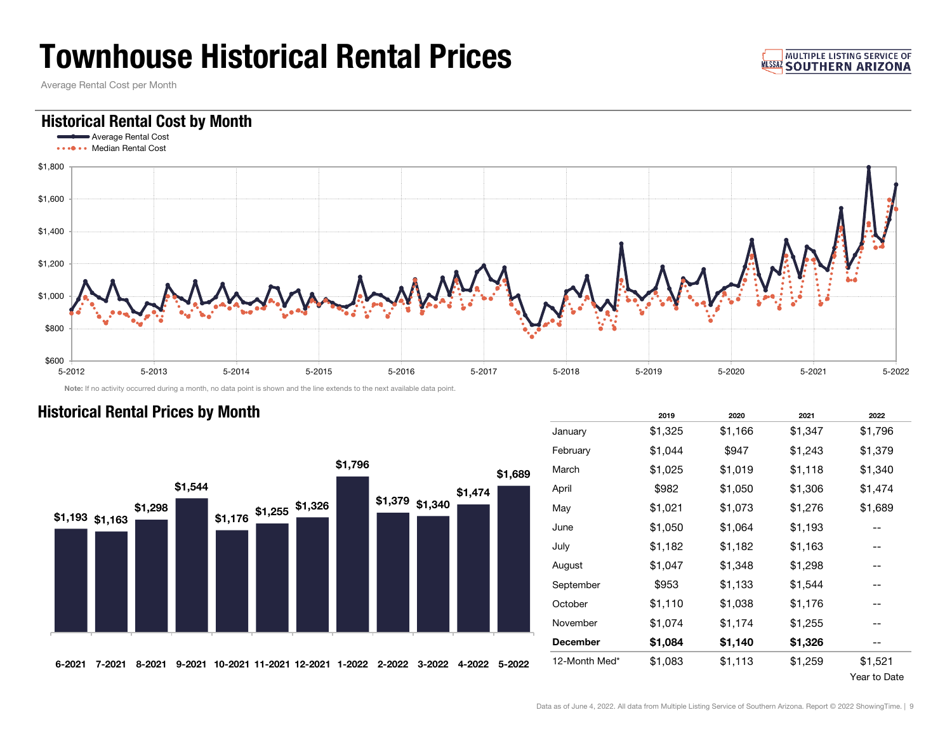## Townhouse Historical Rental Prices

Average Rental Cost per Month

### Historical Rental Cost by Month

**Historical Rental Prices by Month** 



Note: If no activity occurred during a month, no data point is shown and the line extends to the next available data point.



|                 | 2019    | 2020    | 2021    | 2022    |
|-----------------|---------|---------|---------|---------|
| January         | \$1,325 | \$1,166 | \$1,347 | \$1,796 |
| February        | \$1,044 | \$947   | \$1,243 | \$1,379 |
| March           | \$1,025 | \$1,019 | \$1,118 | \$1,340 |
| April           | \$982   | \$1,050 | \$1,306 | \$1,474 |
| May             | \$1,021 | \$1,073 | \$1,276 | \$1,689 |
| June            | \$1,050 | \$1,064 | \$1,193 |         |
| July            | \$1,182 | \$1,182 | \$1,163 |         |
| August          | \$1,047 | \$1,348 | \$1,298 |         |
| September       | \$953   | \$1,133 | \$1,544 |         |
| October         | \$1,110 | \$1,038 | \$1,176 |         |
| November        | \$1,074 | \$1,174 | \$1,255 |         |
| <b>December</b> | \$1,084 | \$1,140 | \$1,326 |         |
| 12-Month Med*   | \$1,083 | \$1,113 | \$1,259 | \$1,521 |
|                 |         |         |         |         |

#### Year to Date

#### **MULTIPLE LISTING SERVICE OF MISSAZ SOUTHERN ARIZONA**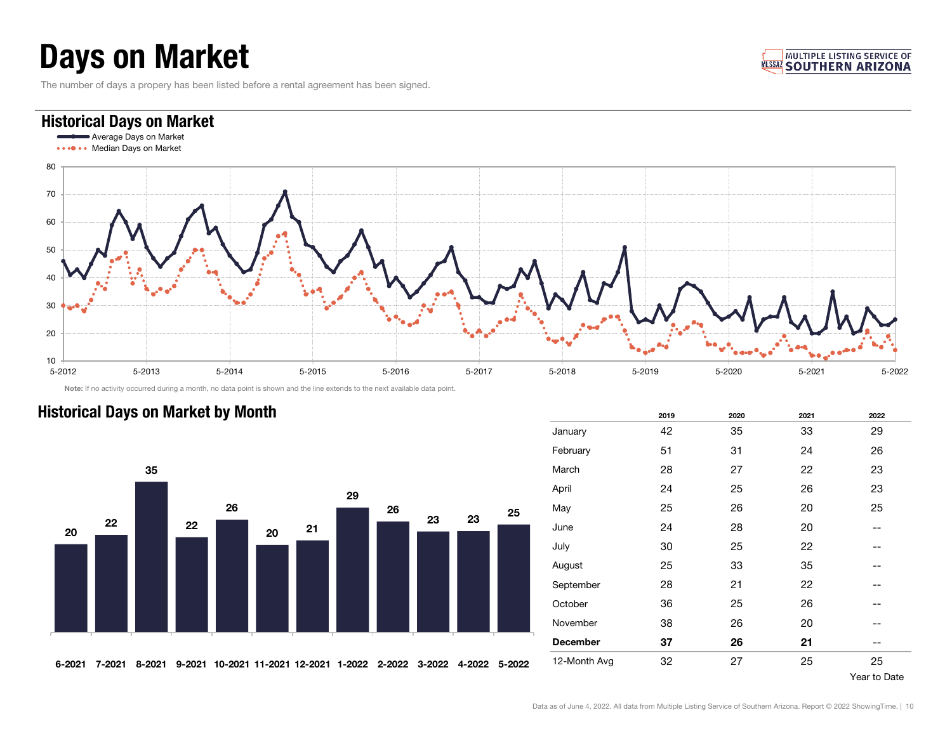## Days on Market

The number of days a propery has been listed before a rental agreement has been signed.

#### **MULTIPLE LISTING SERVICE OF MISSAZ SOUTHERN ARIZONA**

### Historical Days on Market

**Historical Days on Market by Month** 



Note: If no activity occurred during a month, no data point is shown and the line extends to the next available data point.



|                 | 2019 | 2020 | 2021 | 2022 |
|-----------------|------|------|------|------|
| January         | 42   | 35   | 33   | 29   |
| February        | 51   | 31   | 24   | 26   |
| March           | 28   | 27   | 22   | 23   |
| April           | 24   | 25   | 26   | 23   |
| May             | 25   | 26   | 20   | 25   |
| June            | 24   | 28   | 20   | --   |
| July            | 30   | 25   | 22   |      |
| August          | 25   | 33   | 35   | --   |
| September       | 28   | 21   | 22   | --   |
| October         | 36   | 25   | 26   |      |
| November        | 38   | 26   | 20   |      |
| <b>December</b> | 37   | 26   | 21   |      |
| 12-Month Avg    | 32   | 27   | 25   | 25   |

#### Year to Date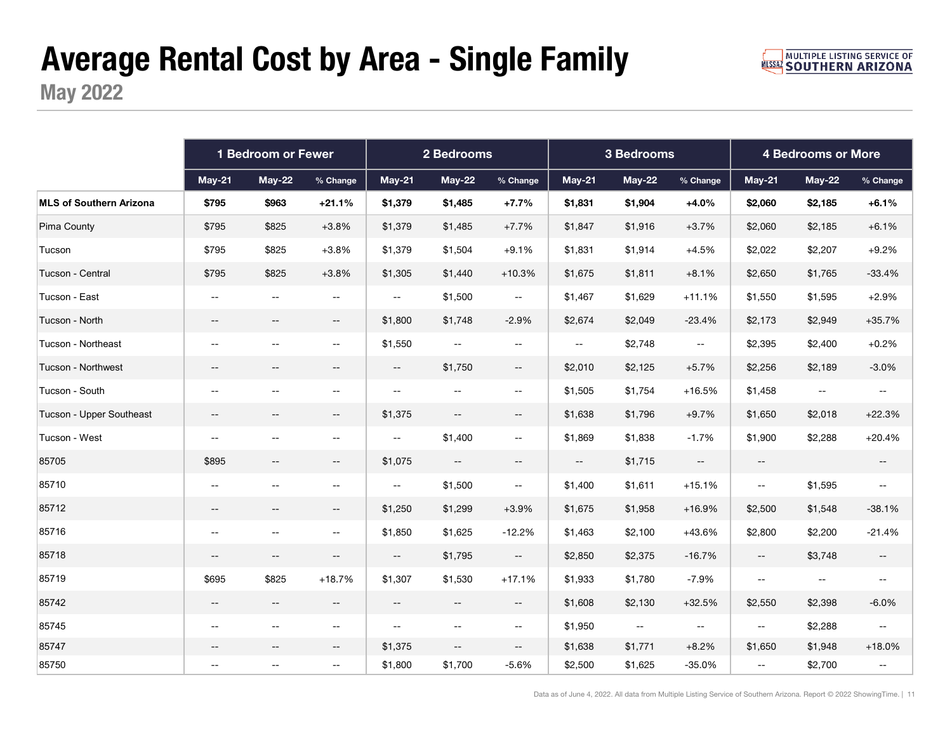# Average Rental Cost by Area - Single Family

May 2022

|                                | 1 Bedroom or Fewer                            |                                               |                                               | 2 Bedrooms                                    |                                               |                                               |                                               | 3 Bedrooms                                    |                                               | <b>4 Bedrooms or More</b>                     |                                               |                                               |
|--------------------------------|-----------------------------------------------|-----------------------------------------------|-----------------------------------------------|-----------------------------------------------|-----------------------------------------------|-----------------------------------------------|-----------------------------------------------|-----------------------------------------------|-----------------------------------------------|-----------------------------------------------|-----------------------------------------------|-----------------------------------------------|
|                                | $May-21$                                      | $May-22$                                      | % Change                                      | $May-21$                                      | $May-22$                                      | % Change                                      | $May-21$                                      | <b>May-22</b>                                 | % Change                                      | <b>May-21</b>                                 | <b>May-22</b>                                 | % Change                                      |
| <b>MLS of Southern Arizona</b> | \$795                                         | \$963                                         | $+21.1%$                                      | \$1,379                                       | \$1,485                                       | $+7.7%$                                       | \$1,831                                       | \$1,904                                       | $+4.0%$                                       | \$2,060                                       | \$2,185                                       | $+6.1%$                                       |
| Pima County                    | \$795                                         | \$825                                         | $+3.8%$                                       | \$1,379                                       | \$1,485                                       | $+7.7%$                                       | \$1,847                                       | \$1,916                                       | $+3.7%$                                       | \$2,060                                       | \$2,185                                       | $+6.1%$                                       |
| Tucson                         | \$795                                         | \$825                                         | $+3.8%$                                       | \$1,379                                       | \$1,504                                       | $+9.1%$                                       | \$1,831                                       | \$1,914                                       | $+4.5%$                                       | \$2,022                                       | \$2,207                                       | $+9.2%$                                       |
| Tucson - Central               | \$795                                         | \$825                                         | $+3.8%$                                       | \$1,305                                       | \$1,440                                       | $+10.3%$                                      | \$1,675                                       | \$1,811                                       | $+8.1%$                                       | \$2,650                                       | \$1,765                                       | $-33.4%$                                      |
| Tucson - East                  | <u>. .</u>                                    | $\overline{a}$                                | $\mathbb{H}^{\mathbb{H}}$                     | $\mathord{\hspace{1pt}\text{--}\hspace{1pt}}$ | \$1,500                                       | $\sim$                                        | \$1,467                                       | \$1,629                                       | $+11.1%$                                      | \$1,550                                       | \$1,595                                       | $+2.9%$                                       |
| Tucson - North                 | $\overline{\phantom{m}}$                      | $-\,-$                                        | $\overline{\phantom{a}}$                      | \$1,800                                       | \$1,748                                       | $-2.9%$                                       | \$2,674                                       | \$2,049                                       | $-23.4%$                                      | \$2,173                                       | \$2,949                                       | $+35.7%$                                      |
| Tucson - Northeast             | $-$                                           | $\sim$                                        | $\sim$ $\sim$                                 | \$1,550                                       | $\mathcal{L} = \mathcal{L}$                   | $\mathcal{L}_{\mathcal{F}}$                   | $\sim$                                        | \$2,748                                       | $\mathord{\hspace{1pt}\text{--}\hspace{1pt}}$ | \$2,395                                       | \$2,400                                       | $+0.2%$                                       |
| Tucson - Northwest             | $-\,-$                                        | $-\,-$                                        | $- -$                                         | $\overline{\phantom{a}}$                      | \$1,750                                       | $\sim$ $\sim$                                 | \$2,010                                       | \$2,125                                       | $+5.7%$                                       | \$2,256                                       | \$2,189                                       | $-3.0%$                                       |
| Tucson - South                 | $- -$                                         | $\overline{\phantom{m}}$                      | $\rightarrow$                                 | $\mathord{\hspace{1pt}\text{--}\hspace{1pt}}$ | $\overline{\phantom{m}}$                      | $\hspace{0.05cm} \hspace{0.02cm} \ldots$      | \$1,505                                       | \$1,754                                       | $+16.5%$                                      | \$1,458                                       | $\mathord{\hspace{1pt}\text{--}\hspace{1pt}}$ | $\mathord{\hspace{1pt}\text{--}\hspace{1pt}}$ |
| Tucson - Upper Southeast       | $- -$                                         | $- \,$                                        | $\mathord{\hspace{1pt}\text{--}\hspace{1pt}}$ | \$1,375                                       | $\overline{\phantom{a}}$                      | $- -$                                         | \$1,638                                       | \$1,796                                       | $+9.7%$                                       | \$1,650                                       | \$2,018                                       | $+22.3%$                                      |
| Tucson - West                  | $- -$                                         | $- \, -$                                      | $- -$                                         | $\overline{\phantom{a}}$                      | \$1,400                                       | $\mathord{\hspace{1pt}\text{--}\hspace{1pt}}$ | \$1,869                                       | \$1,838                                       | $-1.7%$                                       | \$1,900                                       | \$2,288                                       | $+20.4%$                                      |
| 85705                          | \$895                                         | $-\,-$                                        | $\overline{\phantom{m}}$                      | \$1,075                                       | $\mathord{\hspace{1pt}\text{--}\hspace{1pt}}$ | $- -$                                         | $\mathord{\hspace{1pt}\text{--}\hspace{1pt}}$ | \$1,715                                       | $\sim$                                        | $\overline{\phantom{a}}$                      |                                               | $- -$                                         |
| 85710                          | $\overline{\phantom{m}}$                      | $-$                                           | $\overline{\phantom{m}}$                      | $\overline{a}$                                | \$1,500                                       | $\mathord{\hspace{1pt}\text{--}\hspace{1pt}}$ | \$1,400                                       | \$1,611                                       | $+15.1%$                                      | $\mathord{\hspace{1pt}\text{--}\hspace{1pt}}$ | \$1,595                                       | $\overline{\phantom{a}}$                      |
| 85712                          | $\overline{\phantom{m}}$                      | $-\,-$                                        | $\mathord{\hspace{1pt}\text{--}\hspace{1pt}}$ | \$1,250                                       | \$1,299                                       | $+3.9%$                                       | \$1,675                                       | \$1,958                                       | $+16.9%$                                      | \$2,500                                       | \$1,548                                       | $-38.1%$                                      |
| 85716                          | $\overline{a}$                                | $\overline{a}$                                | $\mathbb{H}^{\mathbb{H}}$                     | \$1,850                                       | \$1,625                                       | $-12.2%$                                      | \$1,463                                       | \$2,100                                       | +43.6%                                        | \$2,800                                       | \$2,200                                       | $-21.4%$                                      |
| 85718                          | $\overline{\phantom{m}}$                      | $\overline{\phantom{a}}$                      | $- -$                                         | $- -$                                         | \$1,795                                       | $\overline{\phantom{a}}$                      | \$2,850                                       | \$2,375                                       | $-16.7%$                                      | $- -$                                         | \$3,748                                       | $-\, -$                                       |
| 85719                          | \$695                                         | \$825                                         | $+18.7%$                                      | \$1,307                                       | \$1,530                                       | $+17.1%$                                      | \$1,933                                       | \$1,780                                       | $-7.9%$                                       | $\mathord{\hspace{1pt}\text{--}\hspace{1pt}}$ | $\overline{\phantom{a}}$                      | $- -$                                         |
| 85742                          | $\overline{\phantom{a}}$                      | $\overline{\phantom{a}}$                      | $- -$                                         | $--$                                          | $\overline{\phantom{a}}$                      | $\sim$ $\sim$                                 | \$1,608                                       | \$2,130                                       | $+32.5%$                                      | \$2,550                                       | \$2,398                                       | $-6.0%$                                       |
| 85745                          | $\mathord{\hspace{1pt}\text{--}\hspace{1pt}}$ | $\mathord{\hspace{1pt}\text{--}\hspace{1pt}}$ | $\mathord{\hspace{1pt}\text{--}\hspace{1pt}}$ | $\mathord{\hspace{1pt}\text{--}\hspace{1pt}}$ | $\mathord{\hspace{1pt}\text{--}\hspace{1pt}}$ | $\hspace{0.05cm} \hspace{0.02cm} \ldots$      | \$1,950                                       | $\mathord{\hspace{1pt}\text{--}\hspace{1pt}}$ | $\mathord{\hspace{1pt}\text{--}\hspace{1pt}}$ | $\mathord{\hspace{1pt}\text{--}\hspace{1pt}}$ | \$2,288                                       | $\mathord{\hspace{1pt}\text{--}\hspace{1pt}}$ |
| 85747                          | $- -$                                         | $-$                                           | $- -$                                         | \$1,375                                       | $\overline{\phantom{a}}$                      | $\sim$                                        | \$1,638                                       | \$1,771                                       | $+8.2%$                                       | \$1,650                                       | \$1,948                                       | $+18.0%$                                      |
| 85750                          | --                                            | $- \, -$                                      | $\mathord{\hspace{1pt}\text{--}\hspace{1pt}}$ | \$1,800                                       | \$1,700                                       | $-5.6%$                                       | \$2,500                                       | \$1,625                                       | $-35.0%$                                      | $\hspace{0.05cm} \dashv$                      | \$2,700                                       | $\sim$                                        |

Data as of June 4, 2022. All data from Multiple Listing Service of Southern Arizona. Report © 2022 ShowingTime. | 11

**MULTIPLE LISTING SERVICE OF MUSSAZ SOUTHERN ARIZONA**